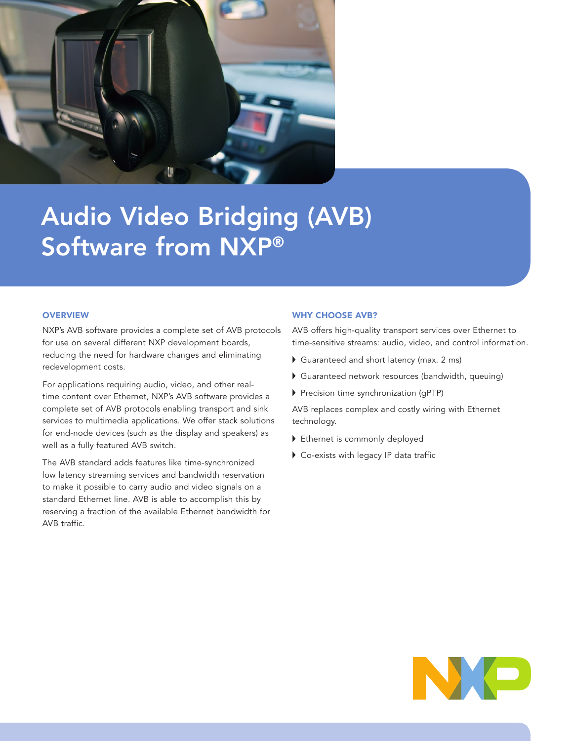

# Audio Video Bridging (AVB) Software from NXP®

# **OVERVIEW**

NXP's AVB software provides a complete set of AVB protocols for use on several different NXP development boards, reducing the need for hardware changes and eliminating redevelopment costs.

For applications requiring audio, video, and other realtime content over Ethernet, NXP's AVB software provides a complete set of AVB protocols enabling transport and sink services to multimedia applications. We offer stack solutions for end-node devices (such as the display and speakers) as well as a fully featured AVB switch.

The AVB standard adds features like time-synchronized low latency streaming services and bandwidth reservation to make it possible to carry audio and video signals on a standard Ethernet line. AVB is able to accomplish this by reserving a fraction of the available Ethernet bandwidth for AVB traffic.

#### WHY CHOOSE AVB?

AVB offers high-quality transport services over Ethernet to time-sensitive streams: audio, video, and control information.

- Guaranteed and short latency (max. 2 ms)
- Guaranteed network resources (bandwidth, queuing)
- Precision time synchronization (qPTP)

AVB replaces complex and costly wiring with Ethernet technology.

- Ethernet is commonly deployed
- ▶ Co-exists with legacy IP data traffic